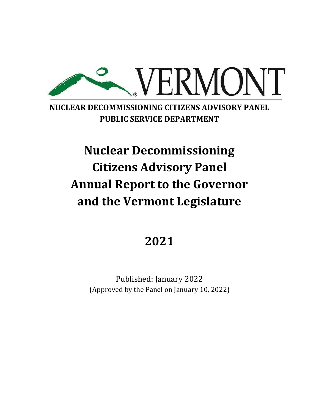

## **NUCLEAR DECOMMISSIONING CITIZENS ADVISORY PANEL PUBLIC SERVICE DEPARTMENT**

# **Nuclear Decommissioning Citizens Advisory Panel Annual Report to the Governor and the Vermont Legislature**

# **2021**

Published: January 2022 (Approved by the Panel on January 10, 2022)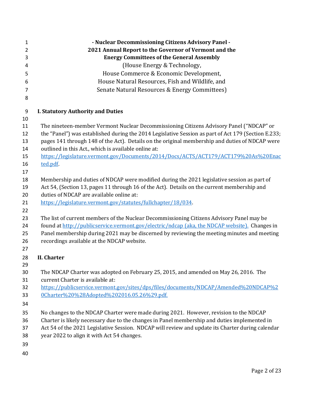| $\mathbf{1}$   | - Nuclear Decommissioning Citizens Advisory Panel -                                                 |
|----------------|-----------------------------------------------------------------------------------------------------|
| $\overline{2}$ | 2021 Annual Report to the Governor of Vermont and the                                               |
| 3              | <b>Energy Committees of the General Assembly</b>                                                    |
| 4              | (House Energy & Technology,                                                                         |
| 5              | House Commerce & Economic Development,                                                              |
| 6              | House Natural Resources, Fish and Wildlife, and                                                     |
| $\overline{7}$ | Senate Natural Resources & Energy Committees)                                                       |
| 8              |                                                                                                     |
| 9              | <b>I. Statutory Authority and Duties</b>                                                            |
| 10             |                                                                                                     |
| 11             | The nineteen-member Vermont Nuclear Decommissioning Citizens Advisory Panel ("NDCAP" or             |
| 12             | the "Panel") was established during the 2014 Legislative Session as part of Act 179 (Section E.233; |
| 13             | pages 141 through 148 of the Act). Details on the original membership and duties of NDCAP were      |
| 14             | outlined in this Act., which is available online at:                                                |
| 15             | https://legislature.vermont.gov/Documents/2014/Docs/ACTS/ACT179/ACT179%20As%20Enac                  |
| 16             | ted.pdf                                                                                             |
| 17             |                                                                                                     |
| 18             | Membership and duties of NDCAP were modified during the 2021 legislative session as part of         |
| 19             | Act 54, (Section 13, pages 11 through 16 of the Act). Details on the current membership and         |
| 20             | duties of NDCAP are available online at:                                                            |
| 21             | https://legislature.vermont.gov/statutes/fullchapter/18/034.                                        |
| 22             |                                                                                                     |
| 23             | The list of current members of the Nuclear Decommissioning Citizens Advisory Panel may be           |
| 24             | found at http://publicservice.vermont.gov/electric/ndcap (aka, the NDCAP website). Changes in       |
| 25             | Panel membership during 2021 may be discerned by reviewing the meeting minutes and meeting          |
| 26<br>27       | recordings available at the NDCAP website.                                                          |
| 28             | <b>II.</b> Charter                                                                                  |
| 29             |                                                                                                     |
| 30             | The NDCAP Charter was adopted on February 25, 2015, and amended on May 26, 2016. The                |
| 31             | current Charter is available at:                                                                    |
| 32             | https://publicservice.vermont.gov/sites/dps/files/documents/NDCAP/Amended%20NDCAP%2                 |
| 33             | 0Charter%20%28Adopted%202016.05.26%29.pdf.                                                          |
| 34             |                                                                                                     |
| 35             | No changes to the NDCAP Charter were made during 2021. However, revision to the NDCAP               |
| 36             | Charter is likely necessary due to the changes in Panel membership and duties implemented in        |
| 37             | Act 54 of the 2021 Legislative Session. NDCAP will review and update its Charter during calendar    |
| 38             | year 2022 to align it with Act 54 changes.                                                          |
| 39             |                                                                                                     |
| $\sqrt{2}$     |                                                                                                     |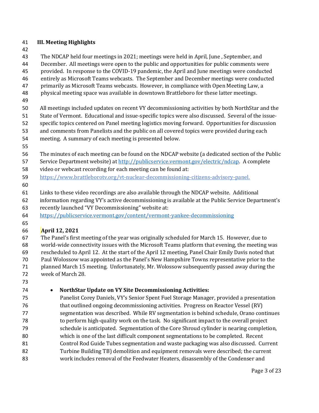#### **III. Meeting Highlights**

The NDCAP held four meetings in 2021; meetings were held in April, June , September, and

December. All meetings were open to the public and opportunities for public comments were

provided. In response to the COVID-19 pandemic, the April and June meetings were conducted

- entirely as Microsoft Teams webcasts. The September and December meetings were conducted
- primarily as Microsoft Teams webcasts. However, in compliance with Open Meeting Law, a physical meeting space was available in downtown Brattleboro for these latter meetings.
- 
- 
- All meetings included updates on recent VY decommissioning activities by both NorthStar and the
- State of Vermont. Educational and issue-specific topics were also discussed. Several of the issue-
- specific topics centered on Panel meeting logistics moving forward. Opportunities for discussion
- and comments from Panelists and the public on all covered topics were provided during each
- meeting. A summary of each meeting is presented below.
- 
- The minutes of each meeting can be found on the NDCAP website (a dedicated section of the Public
- Service Department website) a[t http://publicservice.vermont.gov/electric/ndcap.](http://publicservice.vermont.gov/electric/ndcap) A complete
- video or webcast recording for each meeting can be found at[:](http://www.brattleborotv.org/)
- https://www.brattleborotv.org/vt-nuclear-decommissioning-citizens-advisory-panel.
- 

Links to these video recordings are also available through the NDCAP website. Additional

- information regarding VY's active decommissioning is available at the Public Service Department's recently launched "VY Decommissioning" website at:
- <https://publicservice.vermont.gov/content/vermont-yankee-decommissioning>

#### **April 12, 2021**

 The Panel's first meeting of the year was originally scheduled for March 15. However, due to world-wide connectivity issues with the Microsoft Teams platform that evening, the meeting was rescheduled to April 12. At the start of the April 12 meeting, Panel Chair Emily Davis noted that Paul Wolossow was appointed as the Panel's New Hampshire Towns representative prior to the planned March 15 meeting. Unfortunately, Mr. Wolossow subsequently passed away during the week of March 28.

#### • **NorthStar Update on VY Site Decommissioning Activities:**

 Panelist Corey Daniels, VY's Senior Spent Fuel Storage Manager, provided a presentation that outlined ongoing decommissioning activities. Progress on Reactor Vessel (RV) segmentation was described. While RV segmentation is behind schedule, Orano continues to perform high-quality work on the task. No significant impact to the overall project schedule is anticipated. Segmentation of the Core Shroud cylinder is nearing completion, which is one of the last difficult component segmentations to be completed. Recent Control Rod Guide Tubes segmentation and waste packaging was also discussed. Current Turbine Building TB) demolition and equipment removals were described; the current work includes removal of the Feedwater Heaters, disassembly of the Condenser and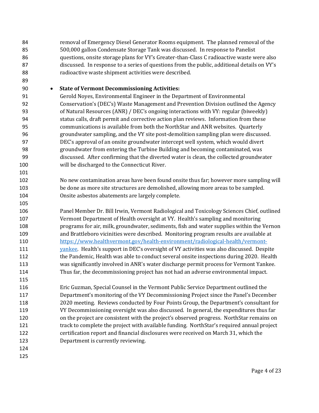removal of Emergency Diesel Generator Rooms equipment. The planned removal of the 500,000 gallon Condensate Storage Tank was discussed. In response to Panelist questions, onsite storage plans for VY's Greater-than-Class C radioactive waste were also discussed. In response to a series of questions from the public, additional details on VY's radioactive waste shipment activities were described. • **State of Vermont Decommissioning Activities:**  Gerold Noyes, Environmental Engineer in the Department of Environmental Conservation's (DEC's) Waste Management and Prevention Division outlined the Agency of Natural Resources (ANR) / DEC's ongoing interactions with VY: regular (biweekly) status calls, draft permit and corrective action plan reviews. Information from these communications is available from both the NorthStar and ANR websites. Quarterly groundwater sampling, and the VY site post-demolition sampling plan were discussed. DEC's approval of an onsite groundwater intercept well system, which would divert groundwater from entering the Turbine Building and becoming contaminated, was discussed. After confirming that the diverted water is clean, the collected groundwater will be discharged to the Connecticut River. No new contamination areas have been found onsite thus far; however more sampling will be done as more site structures are demolished, allowing more areas to be sampled. Onsite asbestos abatements are largely complete. Panel Member Dr. Bill Irwin, Vermont Radiological and Toxicology Sciences Chief, outlined Vermont Department of Health oversight at VY. Health's sampling and monitoring programs for air, milk, groundwater, sediments, fish and water supplies within the Vernon and Brattleboro vicinities were described. Monitoring program results are available at [https://www.healthvermont.gov/health-environment/radiological-health/vermont-](https://www.healthvermont.gov/health-environment/radiological-health/vermont-yankee)111 11 vankee. Health's support in DEC's oversight of VY activities was also discussed. Despite 112 the Pandemic, Health was able to conduct several onsite inspections during 2020. Health was significantly involved in ANR's water discharge permit process for Vermont Yankee. Thus far, the decommissioning project has not had an adverse environmental impact. Eric Guzman, Special Counsel in the Vermont Public Service Department outlined the Department's monitoring of the VY Decommissioning Project since the Panel's December 2020 meeting. Reviews conducted by Four Points Group, the Department's consultant for VY Decommissioning oversight was also discussed. In general, the expenditures thus far 120 on the project are consistent with the project's observed progress. NorthStar remains on track to complete the project with available funding. NorthStar's required annual project certification report and financial disclosures were received on March 31, which the Department is currently reviewing.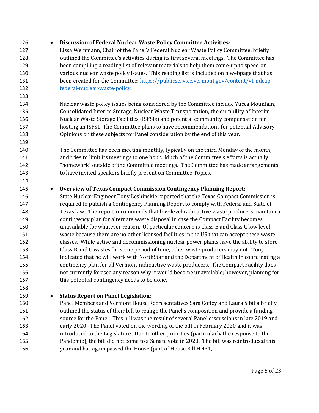- **Discussion of Federal Nuclear Waste Policy Committee Activities:**  Lissa Weinmann, Chair of the Panel's Federal Nuclear Waste Policy Committee, briefly 128 outlined the Committee's activities during its first several meetings. The Committee has been compiling a reading list of relevant materials to help them come-up to speed on various nuclear waste policy issues. This reading list is included on a webpage that has 131 been created for the Committee: [https://publicservice.vermont.gov/content/vt-ndcap](https://publicservice.vermont.gov/content/vt-ndcap-federal-nuclear-waste-policy)[federal-nuclear-waste-policy.](https://publicservice.vermont.gov/content/vt-ndcap-federal-nuclear-waste-policy)
- 

 Nuclear waste policy issues being considered by the Committee include Yucca Mountain, Consolidated Interim Storage, Nuclear Waste Transportation, the durability of Interim Nuclear Waste Storage Facilities (ISFSIs) and potential community compensation for hosting an ISFSI. The Committee plans to have recommendations for potential Advisory Opinions on these subjects for Panel consideration by the end of this year.

- The Committee has been meeting monthly, typically on the third Monday of the month, 141 and tries to limit its meetings to one hour. Much of the Committee's efforts is actually "homework" outside of the Committee meetings. The Committee has made arrangements to have invited speakers briefly present on Committee Topics.
- **Overview of Texas Compact Commission Contingency Planning Report:**

 State Nuclear Engineer Tony Leshinskie reported that the Texas Compact Commission is required to publish a Contingency Planning Report to comply with Federal and State of Texas law. The report recommends that low-level radioactive waste producers maintain a contingency plan for alternate waste disposal in case the Compact Facility becomes unavailable for whatever reason. Of particular concern is Class B and Class C low level waste because there are no other licensed facilities in the US that can accept these waste classes. While active and decommissioning nuclear power plants have the ability to store Class B and C wastes for some period of time, other waste producers may not. Tony indicated that he will work with NorthStar and the Department of Health in coordinating a continency plan for all Vermont radioactive waste producers. The Compact Facility does not currently foresee any reason why it would become unavailable; however, planning for 157 this potential contingency needs to be done.

#### • **Status Report on Panel Legislation**:

 Panel Members and Vermont House Representatives Sara Coffey and Laura Sibilia briefly outlined the status of their bill to realign the Panel's composition and provide a funding source for the Panel. This bill was the result of several Panel discussions in late 2019 and early 2020. The Panel voted on the wording of the bill in February 2020 and it was introduced to the Legislature. Due to other priorities (particularly the response to the Pandemic), the bill did not come to a Senate vote in 2020. The bill was reintroduced this year and has again passed the House (part of House Bill H.431,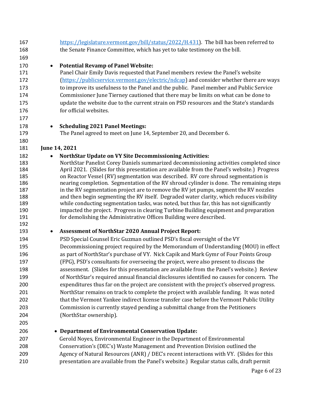| 167        | https://legislature.vermont.gov/bill/status/2022/H.431). The bill has been referred to                                                                                                |
|------------|---------------------------------------------------------------------------------------------------------------------------------------------------------------------------------------|
| 168        | the Senate Finance Committee, which has yet to take testimony on the bill.                                                                                                            |
| 169        |                                                                                                                                                                                       |
| 170        | <b>Potential Revamp of Panel Website:</b><br>$\bullet$                                                                                                                                |
| 171        | Panel Chair Emily Davis requested that Panel members review the Panel's website                                                                                                       |
| 172        | (https://publicservice.vermont.gov/electric/ndcap) and consider whether there are ways                                                                                                |
| 173        | to improve its usefulness to the Panel and the public. Panel member and Public Service                                                                                                |
| 174        | Commissioner June Tierney cautioned that there may be limits on what can be done to                                                                                                   |
| 175        | update the website due to the current strain on PSD resources and the State's standards                                                                                               |
| 176        | for official websites.                                                                                                                                                                |
| 177        |                                                                                                                                                                                       |
| 178        | <b>Scheduling 2021 Panel Meetings:</b><br>$\bullet$                                                                                                                                   |
| 179        | The Panel agreed to meet on June 14, September 20, and December 6.                                                                                                                    |
| 180        |                                                                                                                                                                                       |
| 181        | June 14, 2021                                                                                                                                                                         |
| 182        | <b>NorthStar Update on VY Site Decommissioning Activities:</b><br>$\bullet$                                                                                                           |
| 183        | NorthStar Panelist Corey Daniels summarized decommissioning activities completed since                                                                                                |
| 184        | April 2021. (Slides for this presentation are available from the Panel's website.) Progress                                                                                           |
| 185        | on Reactor Vessel (RV) segmentation was described. RV core shroud segmentation is                                                                                                     |
| 186        | nearing completion. Segmentation of the RV shroud cylinder is done. The remaining steps                                                                                               |
| 187        | in the RV segmentation project are to remove the RV jet pumps, segment the RV nozzles                                                                                                 |
| 188<br>189 | and then begin segmenting the RV itself. Degraded water clarity, which reduces visibility<br>while conducting segmentation tasks, was noted, but thus far, this has not significantly |
| 190        | impacted the project. Progress in clearing Turbine Building equipment and preparation                                                                                                 |
| 191        | for demolishing the Administrative Offices Building were described.                                                                                                                   |
| 192        |                                                                                                                                                                                       |
| 193        | <b>Assessment of NorthStar 2020 Annual Project Report:</b><br>$\bullet$                                                                                                               |
| 194        | PSD Special Counsel Eric Guzman outlined PSD's fiscal oversight of the VY                                                                                                             |
| 195        | Decommissioning project required by the Memorandum of Understanding (MOU) in effect                                                                                                   |
| 196        | as part of NorthStar's purchase of VY. Nick Capik and Mark Gymr of Four Points Group                                                                                                  |
| 197        | (FPG), PSD's consultants for overseeing the project, were also present to discuss the                                                                                                 |
| 198        | assessment. (Slides for this presentation are available from the Panel's website.) Review                                                                                             |
| 199        | of NorthStar's required annual financial disclosures identified no causes for concern. The                                                                                            |
| 200        | expenditures thus far on the project are consistent with the project's observed progress.                                                                                             |
| 201        | NorthStar remains on track to complete the project with available funding. It was noted                                                                                               |
| 202        | that the Vermont Yankee indirect license transfer case before the Vermont Public Utility                                                                                              |
| 203        | Commission is currently stayed pending a submittal change from the Petitioners                                                                                                        |
| 204        | (NorthStar ownership).                                                                                                                                                                |
| 205        |                                                                                                                                                                                       |
| 206        | • Department of Environmental Conservation Update:                                                                                                                                    |
| 207        | Gerold Noyes, Environmental Engineer in the Department of Environmental                                                                                                               |
| 208        | Conservation's (DEC's) Waste Management and Prevention Division outlined the                                                                                                          |
| 209        | Agency of Natural Resources (ANR) / DEC's recent interactions with VY. (Slides for this                                                                                               |
| 210        | presentation are available from the Panel's website.) Regular status calls, draft permit                                                                                              |
|            |                                                                                                                                                                                       |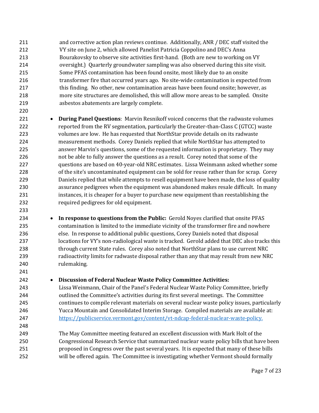and corrective action plan reviews continue. Additionally, ANR / DEC staff visited the VY site on June 2, which allowed Panelist Patricia Coppolino and DEC's Anna Bourakovsky to observe site activities first-hand. (Both are new to working on VY oversight.) Quarterly groundwater sampling was also observed during this site visit. Some PFAS contamination has been found onsite, most likely due to an onsite transformer fire that occurred years ago. No site-wide contamination is expected from this finding. No other, new contamination areas have been found onsite; however, as more site structures are demolished, this will allow more areas to be sampled. Onsite asbestos abatements are largely complete.

- **During Panel Questions**: Marvin Resnikoff voiced concerns that the radwaste volumes reported from the RV segmentation, particularly the Greater-than-Class C (GTCC) waste volumes are low. He has requested that NorthStar provide details on its radwaste measurement methods. Corey Daniels replied that while NorthStar has attempted to answer Marvin's questions, some of the requested information is proprietary. They may not be able to fully answer the questions as a result. Corey noted that some of the questions are based on 40-year-old NRC estimates. Lissa Weinmann asked whether some of the site's uncontaminated equipment can be sold for reuse rather than for scrap. Corey Daniels replied that while attempts to resell equipment have been made, the loss of quality assurance pedigrees when the equipment was abandoned makes resale difficult. In many instances, it is cheaper for a buyer to purchase new equipment than reestablishing the required pedigrees for old equipment.
- **In response to questions from the Public:** Gerold Noyes clarified that onsite PFAS contamination is limited to the immediate vicinity of the transformer fire and nowhere else. In response to additional public questions, Corey Daniels noted that disposal locations for VY's non-radiological waste is tracked. Gerold added that DEC also tracks this through current State rules. Corey also noted that NorthStar plans to use current NRC radioactivity limits for radwaste disposal rather than any that may result from new NRC rulemaking.

#### • **Discussion of Federal Nuclear Waste Policy Committee Activities:**

 Lissa Weinmann, Chair of the Panel's Federal Nuclear Waste Policy Committee, briefly outlined the Committee's activities during its first several meetings. The Committee continues to compile relevant materials on several nuclear waste policy issues, particularly Yucca Mountain and Consolidated Interim Storage. Compiled materials are available at: [https://publicservice.vermont.gov/content/vt-ndcap-federal-nuclear-waste-policy.](https://publicservice.vermont.gov/content/vt-ndcap-federal-nuclear-waste-policy)

 The May Committee meeting featured an excellent discussion with Mark Holt of the Congressional Research Service that summarized nuclear waste policy bills that have been proposed in Congress over the past several years. It is expected that many of these bills will be offered again. The Committee is investigating whether Vermont should formally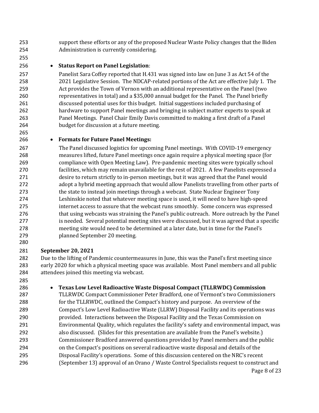- support these efforts or any of the proposed Nuclear Waste Policy changes that the Biden Administration is currently considering.
- 

#### • **Status Report on Panel Legislation**:

 Panelist Sara Coffey reported that H.431 was signed into law on June 3 as Act 54 of the 2021 Legislative Session. The NDCAP-related portions of the Act are effective July 1. The Act provides the Town of Vernon with an additional representative on the Panel (two representatives in total) and a \$35,000 annual budget for the Panel. The Panel briefly discussed potential uses for this budget. Initial suggestions included purchasing of hardware to support Panel meetings and bringing in subject matter experts to speak at Panel Meetings. Panel Chair Emily Davis committed to making a first draft of a Panel budget for discussion at a future meeting.

#### • **Formats for Future Panel Meetings:**

 The Panel discussed logistics for upcoming Panel meetings. With COVID-19 emergency measures lifted, future Panel meetings once again require a physical meeting space (for compliance with Open Meeting Law). Pre-pandemic meeting sites were typically school facilities, which may remain unavailable for the rest of 2021. A few Panelists expressed a desire to return strictly to in-person meetings, but it was agreed that the Panel would adopt a hybrid meeting approach that would allow Panelists travelling from other parts of the state to instead join meetings through a webcast. State Nuclear Engineer Tony Leshinskie noted that whatever meeting space is used, it will need to have high-speed internet access to assure that the webcast runs smoothly. Some concern was expressed that using webcasts was straining the Panel's public outreach. More outreach by the Panel is needed. Several potential meeting sites were discussed, but it was agreed that a specific meeting site would need to be determined at a later date, but in time for the Panel's planned September 20 meeting.

#### **September 20, 2021**

 Due to the lifting of Pandemic countermeasures in June, this was the Panel's first meeting since early 2020 for which a physical meeting space was available. Most Panel members and all public attendees joined this meeting via webcast.

 • **Texas Low Level Radioactive Waste Disposal Compact (TLLRWDC) Commission**  TLLRWDC Compact Commissioner Peter Bradford, one of Vermont's two Commissioners for the TLLRWDC, outlined the Compact's history and purpose. An overview of the Compact's Low Level Radioactive Waste (LLRW) Disposal Facility and its operations was provided. Interactions between the Disposal Facility and the Texas Commission on Environmental Quality, which regulates the facility's safety and environmental impact, was also discussed. (Slides for this presentation are available from the Panel's website.) Commissioner Bradford answered questions provided by Panel members and the public on the Compact's positions on several radioactive waste disposal and details of the Disposal Facility's operations. Some of this discussion centered on the NRC's recent (September 13) approval of an Orano / Waste Control Specialists request to construct and

Page 8 of 23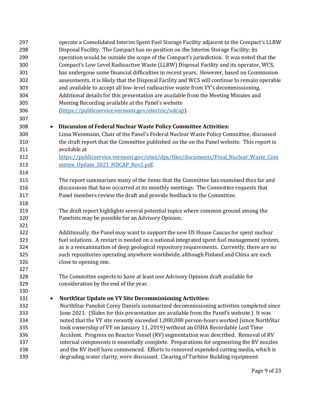| 297              | operate a Consolidated Interim Spent Fuel Storage Facility adjacent to the Compact's LLRW     |
|------------------|-----------------------------------------------------------------------------------------------|
| 298              | Disposal Facility. The Compact has no position on the Interim Storage Facility; its           |
| 299              | operation would be outside the scope of the Compact's jurisdiction. It was noted that the     |
| 300              | Compact's Low Level Radioactive Waste (LLRW) Disposal Facility and its operator, WCS,         |
| 301              | has undergone some financial difficulties in recent years. However, based on Commission       |
| 302              | assessments, it is likely that the Disposal Facility and WCS will continue to remain operable |
| 303              | and available to accept all low-level radioactive waste from VY's decommissioning.            |
| 304              | Additional details for this presentation are available from the Meeting Minutes and           |
| 305              | Meeting Recording available at the Panel's website                                            |
| 306              | (https://publicservice.vermont.gov/electric/ndcap).                                           |
| 307              |                                                                                               |
| 308<br>$\bullet$ | Discussion of Federal Nuclear Waste Policy Committee Activities:                              |
| 309              | Lissa Weinmann, Chair of the Panel's Federal Nuclear Waste Policy Committee, discussed        |
| 310              | the draft report that the Committee published on the on the Panel website. This report is     |
| 311              | available at                                                                                  |
| 312              | https://publicservice.vermont.gov/sites/dps/files/documents/Final Nuclear Waste Com           |
| 313              | mittee Update 2021 NDCAP Rev2.pdf.                                                            |
| 314              |                                                                                               |
| 315              | The report summarizes many of the items that the Committee has examined thus far and          |
| 316              | discussions that have occurred at its monthly meetings. The Committee requests that           |
| 317              | Panel members review the draft and provide feedback to the Committee.                         |
| 318              |                                                                                               |
| 319              | The draft report highlights several potential topics where common ground among the            |
| 320              | Panelists may be possible for an Advisory Opinion.                                            |
| 321              |                                                                                               |
| 322              | Additionally, the Panel may want to support the new US House Caucus for spent nuclear         |
| 323              | fuel solutions. A restart is needed on a national integrated spent fuel management system,    |
| 324              | as is a reexamination of deep geological repository requirements. Currently, there are no     |
| 325              | such repositories operating anywhere worldwide, although Finland and China are each           |
| 326              | close to opening one.                                                                         |
| 327              |                                                                                               |
| 328              | The Committee expects to have at least one Advisory Opinion draft available for               |
| 329              | consideration by the end of the year.                                                         |
| 330              |                                                                                               |
| 331<br>٠         | <b>NorthStar Update on VY Site Decommissioning Activities:</b>                                |
| 332              | NorthStar Panelist Corey Daniels summarized decommissioning activities completed since        |
| 333              | June 2021. (Slides for this presentation are available from the Panel's website.) It was      |
| 334              | noted that the VY site recently exceeded 1,000,000 person-hours worked (since NorthStar       |
| 335              | took ownership of VY on January 11, 2019) without an OSHA Recordable Lost Time                |
| 336              | Accident. Progress on Reactor Vessel (RV) segmentation was described. Removal of RV           |
| 337              | internal components is essentially complete. Preparations for segmenting the RV nozzles       |
| 338              | and the RV itself have commenced. Efforts to removed expended cutting media, which is         |
| 339              | degrading water clarity, were discussed. Clearing of Turbine Building equipment               |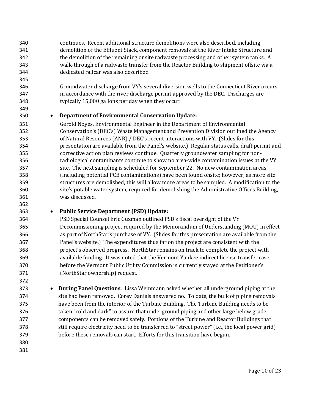- continues. Recent additional structure demolitions were also described, including demolition of the Effluent Stack, component removals at the River Intake Structure and the demolition of the remaining onsite radwaste processing and other system tanks. A walk-through of a radwaste transfer from the Reactor Building to shipment offsite via a dedicated railcar was also described Groundwater discharge from VY's several diversion wells to the Connecticut River occurs in accordance with the river discharge permit approved by the DEC. Discharges are typically 15,000 gallons per day when they occur. • **Department of Environmental Conservation Update:**  Gerold Noyes, Environmental Engineer in the Department of Environmental
- Conservation's (DEC's) Waste Management and Prevention Division outlined the Agency of Natural Resources (ANR) / DEC's recent interactions with VY. (Slides for this presentation are available from the Panel's website.) Regular status calls, draft permit and corrective action plan reviews continue. Quarterly groundwater sampling for non- radiological contaminants continue to show no area-wide contamination issues at the VY site. The next sampling is scheduled for September 22. No new contamination areas (including potential PCB contaminations) have been found onsite; however, as more site structures are demolished, this will allow more areas to be sampled. A modification to the site's potable water system, required for demolishing the Administrative Offices Building, was discussed.
- 

#### • **Public Service Department (PSD) Update:**

- PSD Special Counsel Eric Guzman outlined PSD's fiscal oversight of the VY Decommissioning project required by the Memorandum of Understanding (MOU) in effect as part of NorthStar's purchase of VY. (Slides for this presentation are available from the Panel's website.) The expenditures thus far on the project are consistent with the project's observed progress. NorthStar remains on track to complete the project with available funding. It was noted that the Vermont Yankee indirect license transfer case before the Vermont Public Utility Commission is currently stayed at the Petitioner's (NorthStar ownership) request.
- **During Panel Questions**: Lissa Weinmann asked whether all underground piping at the site had been removed. Corey Daniels answered no. To date, the bulk of piping removals have been from the interior of the Turbine Building. The Turbine Building needs to be taken "cold and dark" to assure that underground piping and other large below grade components can be removed safely. Portions of the Turbine and Reactor Buildings that 378 still require electricity need to be transferred to "street power" (i.e., the local power grid) before these removals can start. Efforts for this transition have begun.
-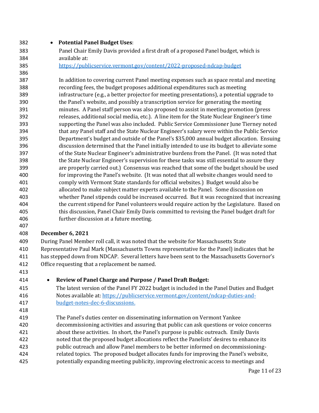| 382 | <b>Potential Panel Budget Uses:</b>                                                         |
|-----|---------------------------------------------------------------------------------------------|
| 383 | Panel Chair Emily Davis provided a first draft of a proposed Panel budget, which is         |
| 384 | available at:                                                                               |
| 385 | https://publicservice.vermont.gov/content/2022-proposed-ndcap-budget                        |
| 386 |                                                                                             |
| 387 | In addition to covering current Panel meeting expenses such as space rental and meeting     |
| 388 | recording fees, the budget proposes additional expenditures such as meeting                 |
| 389 | infrastructure (e.g., a better projector for meeting presentations), a potential upgrade to |
| 390 | the Panel's website, and possibly a transcription service for generating the meeting        |
| 391 | minutes. A Panel staff person was also proposed to assist in meeting promotion (press       |
| 392 | releases, additional social media, etc.). A line item for the State Nuclear Engineer's time |
| 393 | supporting the Panel was also included. Public Service Commissioner June Tierney noted      |
| 394 | that any Panel staff and the State Nuclear Engineer's salary were within the Public Service |
| 395 | Department's budget and outside of the Panel's \$35,000 annual budget allocation. Ensuing   |
| 396 | discussion determined that the Panel initially intended to use its budget to alleviate some |
| 397 | of the State Nuclear Engineer's administrative burdens from the Panel. (It was noted that   |
| 398 | the State Nuclear Engineer's supervision for these tasks was still essential to assure they |
| 399 | are properly carried out.) Consensus was reached that some of the budget should be used     |
| 400 | for improving the Panel's website. (It was noted that all website changes would need to     |
| 401 | comply with Vermont State standards for official websites.) Budget would also be            |
| 402 | allocated to make subject matter experts available to the Panel. Some discussion on         |
| 403 | whether Panel stipends could be increased occurred. But it was recognized that increasing   |
| 404 | the current stipend for Panel volunteers would require action by the Legislature. Based on  |
| 405 | this discussion, Panel Chair Emily Davis committed to revising the Panel budget draft for   |
| 406 | further discussion at a future meeting.                                                     |

#### **December 6, 2021**

 During Panel Member roll call, it was noted that the website for Massachusetts State Representative Paul Mark (Massachusetts Towns representative for the Panel) indicates that he has stepped down from NDCAP. Several letters have been sent to the Massachusetts Governor's Office requesting that a replacement be named.

#### • **Review of Panel Charge and Purpose / Panel Draft Budget:**

- The latest version of the Panel FY 2022 budget is included in the Panel Duties and Budget Notes available at[: https://publicservice.vermont.gov/content/ndcap-duties-and-](https://publicservice.vermont.gov/content/ndcap-duties-and-budget-notes-dec-6-discussions)[budget-notes-dec-6-discussions.](https://publicservice.vermont.gov/content/ndcap-duties-and-budget-notes-dec-6-discussions)
- The Panel's duties center on disseminating information on Vermont Yankee decommissioning activities and assuring that public can ask questions or voice concerns about these activities. In short, the Panel's purpose is public outreach. Emily Davis noted that the proposed budget allocations reflect the Panelists' desires to enhance its public outreach and allow Panel members to be better informed on decommissioning- related topics. The proposed budget allocates funds for improving the Panel's website, potentially expanding meeting publicity, improving electronic access to meetings and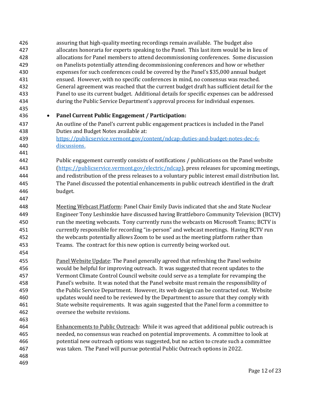assuring that high-quality meeting recordings remain available. The budget also allocates honoraria for experts speaking to the Panel. This last item would be in lieu of allocations for Panel members to attend decommissioning conferences. Some discussion on Panelists potentially attending decommissioning conferences and how or whether expenses for such conferences could be covered by the Panel's \$35,000 annual budget ensued. However, with no specific conferences in mind, no consensus was reached. General agreement was reached that the current budget draft has sufficient detail for the Panel to use its current budget. Additional details for specific expenses can be addressed during the Public Service Department's approval process for individual expenses. • **Panel Current Public Engagement / Participation:** An outline of the Panel's current public engagement practices is included in the Panel Duties and Budget Notes available at: [https://publicservice.vermont.gov/content/ndcap-duties-and-budget-notes-dec-6-](https://publicservice.vermont.gov/content/ndcap-duties-and-budget-notes-dec-6-discussions) [discussions.](https://publicservice.vermont.gov/content/ndcap-duties-and-budget-notes-dec-6-discussions) Public engagement currently consists of notifications / publications on the Panel website [\(https://publicservice.vermont.gov/electric/ndcap\)](https://publicservice.vermont.gov/electric/ndcap), press releases for upcoming meetings, and redistribution of the press releases to a voluntary public interest email distribution list. The Panel discussed the potential enhancements in public outreach identified in the draft budget. 448 Meeting Webcast Platform: Panel Chair Emily Davis indicated that she and State Nuclear Engineer Tony Leshinskie have discussed having Brattleboro Community Television (BCTV) run the meeting webcasts. Tony currently runs the webcasts on Microsoft Teams; BCTV is currently responsible for recording "in-person" and webcast meetings. Having BCTV run the webcasts potentially allows Zoom to be used as the meeting platform rather than Teams. The contract for this new option is currently being worked out. Panel Website Update: The Panel generally agreed that refreshing the Panel website would be helpful for improving outreach. It was suggested that recent updates to the Vermont Climate Control Council website could serve as a template for revamping the Panel's website. It was noted that the Panel website must remain the responsibility of the Public Service Department. However, its web design can be contracted out. Website updates would need to be reviewed by the Department to assure that they comply with State website requirements. It was again suggested that the Panel form a committee to oversee the website revisions. Enhancements to Public Outreach: While it was agreed that additional public outreach is needed, no consensus was reached on potential improvements. A committee to look at potential new outreach options was suggested, but no action to create such a committee was taken. The Panel will pursue potential Public Outreach options in 2022.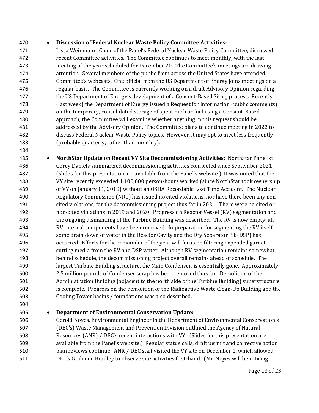#### • **Discussion of Federal Nuclear Waste Policy Committee Activities:**

 Lissa Weinmann, Chair of the Panel's Federal Nuclear Waste Policy Committee, discussed recent Committee activities. The Committee continues to meet monthly, with the last meeting of the year scheduled for December 20. The Committee's meetings are drawing attention. Several members of the public from across the United States have attended Committee's webcasts. One official from the US Department of Energy joins meetings on a regular basis. The Committee is currently working on a draft Advisory Opinion regarding the US Department of Energy's development of a Consent-Based Siting process. Recently (last week) the Department of Energy issued a Request for Information (public comments) on the temporary, consolidated storage of spent nuclear fuel using a Consent-Based approach; the Committee will examine whether anything in this request should be addressed by the Advisory Opinion. The Committee plans to continue meeting in 2022 to discuss Federal Nuclear Waste Policy topics. However, it may opt to meet less frequently (probably quarterly, rather than monthly).

 • **NorthStar Update on Recent VY Site Decommissioning Activities:** NorthStar Panelist Corey Daniels summarized decommissioning activities completed since September 2021. (Slides for this presentation are available from the Panel's website.) It was noted that the VY site recently exceeded 1,100,000 person-hours worked (since NorthStar took ownership of VY on January 11, 2019) without an OSHA Recordable Lost Time Accident. The Nuclear Regulatory Commission (NRC) has issued no cited violations, nor have there been any non- cited violations, for the decommissioning project thus far in 2021. There were no cited or non-cited violations in 2019 and 2020. Progress on Reactor Vessel (RV) segmentation and the ongoing dismantling of the Turbine Building was described. The RV is now empty; all RV internal components have been removed. In preparation for segmenting the RV itself, some drain down of water in the Reactor Cavity and the Dry Separator Pit (DSP) has occurred. Efforts for the remainder of the year will focus on filtering expended garnet cutting media from the RV and DSP water. Although RV segmentation remains somewhat behind schedule, the decommissioning project overall remains ahead of schedule. The largest Turbine Building structure, the Main Condenser, is essentially gone. Approximately 2.5 million pounds of Condenser scrap has been removed thus far. Demolition of the Administration Building (adjacent to the north side of the Turbine Building) superstructure is complete. Progress on the demolition of the Radioactive Waste Clean-Up Building and the Cooling Tower basins / foundations was also described.

#### • **Department of Environmental Conservation Update:**

 Gerold Noyes, Environmental Engineer in the Department of Environmental Conservation's (DEC's) Waste Management and Prevention Division outlined the Agency of Natural Resources (ANR) / DEC's recent interactions with VY. (Slides for this presentation are available from the Panel's website.) Regular status calls, draft permit and corrective action plan reviews continue. ANR / DEC staff visited the VY site on December 1, which allowed DEC's Grahame Bradley to observe site activities first-hand. (Mr. Noyes will be retiring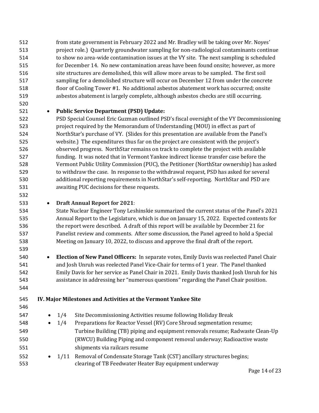from state government in February 2022 and Mr. Bradley will be taking over Mr. Noyes' project role.) Quarterly groundwater sampling for non-radiological contaminants continue to show no area-wide contamination issues at the VY site. The next sampling is scheduled for December 14. No new contamination areas have been found onsite; however, as more site structures are demolished, this will allow more areas to be sampled. The first soil sampling for a demolished structure will occur on December 12 from under the concrete floor of Cooling Tower #1. No additional asbestos abatement work has occurred; onsite asbestos abatement is largely complete, although asbestos checks are still occurring. • **Public Service Department (PSD) Update:**  PSD Special Counsel Eric Guzman outlined PSD's fiscal oversight of the VY Decommissioning project required by the Memorandum of Understanding (MOU) in effect as part of

 NorthStar's purchase of VY. (Slides for this presentation are available from the Panel's website.) The expenditures thus far on the project are consistent with the project's observed progress. NorthStar remains on track to complete the project with available funding. It was noted that in Vermont Yankee indirect license transfer case before the Vermont Public Utility Commission (PUC), the Petitioner (NorthStar ownership) has asked 529 to withdraw the case. In response to the withdrawal request, PSD has asked for several additional reporting requirements in NorthStar's self-reporting. NorthStar and PSD are awaiting PUC decisions for these requests.

#### • **Draft Annual Report for 2021**:

 State Nuclear Engineer Tony Leshinskie summarized the current status of the Panel's 2021 Annual Report to the Legislature, which is due on January 15, 2022. Expected contents for the report were described. A draft of this report will be available by December 21 for Panelist review and comments. After some discussion, the Panel agreed to hold a Special Meeting on January 10, 2022, to discuss and approve the final draft of the report.

 • **Election of New Panel Officers:** In separate votes, Emily Davis was reelected Panel Chair and Josh Unruh was reelected Panel Vice-Chair for terms of 1 year. The Panel thanked Emily Davis for her service as Panel Chair in 2021. Emily Davis thanked Josh Unruh for his assistance in addressing her "numerous questions" regarding the Panel Chair position.

#### **IV. Major Milestones and Activities at the Vermont Yankee Site**

 • 1/4 Site Decommissioning Activities resume following Holiday Break • 1/4 Preparations for Reactor Vessel (RV) Core Shroud segmentation resume; Turbine Building (TB) piping and equipment removals resume; Radwaste Clean-Up (RWCU) Building Piping and component removal underway; Radioactive waste shipments via railcars resume • 1/11 Removal of Condensate Storage Tank (CST) ancillary structures begins; clearing of TB Feedwater Heater Bay equipment underway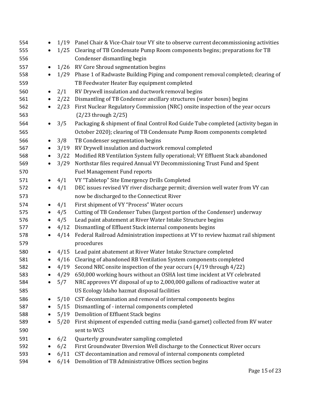| 554 |           | 1/19                                                                                     | Panel Chair & Vice-Chair tour VY site to observe current decommissioning activities |  |
|-----|-----------|------------------------------------------------------------------------------------------|-------------------------------------------------------------------------------------|--|
| 555 |           | 1/25                                                                                     | Clearing of TB Condensate Pump Room components begins; preparations for TB          |  |
| 556 |           |                                                                                          | Condenser dismantling begin                                                         |  |
| 557 |           | 1/26                                                                                     | RV Core Shroud segmentation begins                                                  |  |
| 558 | $\bullet$ | 1/29                                                                                     | Phase 1 of Radwaste Building Piping and component removal completed; clearing of    |  |
| 559 |           |                                                                                          | TB Feedwater Heater Bay equipment completed                                         |  |
| 560 |           | 2/1                                                                                      | RV Drywell insulation and ductwork removal begins                                   |  |
| 561 | $\bullet$ | 2/22                                                                                     | Dismantling of TB Condenser ancillary structures (water boxes) begins               |  |
| 562 | $\bullet$ | 2/23                                                                                     | First Nuclear Regulatory Commission (NRC) onsite inspection of the year occurs      |  |
| 563 |           |                                                                                          | $(2/23$ through $2/25$ )                                                            |  |
| 564 |           | 3/5                                                                                      | Packaging & shipment of final Control Rod Guide Tube completed (activity began in   |  |
| 565 |           |                                                                                          | October 2020); clearing of TB Condensate Pump Room components completed             |  |
| 566 | $\bullet$ | 3/8                                                                                      | TB Condenser segmentation begins                                                    |  |
| 567 | $\bullet$ | 3/19                                                                                     | RV Drywell insulation and ductwork removal completed                                |  |
| 568 | $\bullet$ | 3/22                                                                                     | Modified RB Ventilation System fully operational; VY Effluent Stack abandoned       |  |
| 569 | $\bullet$ | 3/29                                                                                     | Northstar files required Annual VY Decommissioning Trust Fund and Spent             |  |
| 570 |           |                                                                                          | <b>Fuel Management Fund reports</b>                                                 |  |
| 571 |           | 4/1                                                                                      | VY "Tabletop" Site Emergency Drills Completed                                       |  |
| 572 | $\bullet$ | 4/1                                                                                      | DEC issues revised VY river discharge permit; diversion well water from VY can      |  |
| 573 |           |                                                                                          | now be discharged to the Connecticut River                                          |  |
| 574 | ٠         | 4/1                                                                                      | First shipment of VY "Process" Water occurs                                         |  |
| 575 | $\bullet$ | 4/5                                                                                      | Cutting of TB Condenser Tubes (largest portion of the Condenser) underway           |  |
| 576 | $\bullet$ | 4/5                                                                                      | Lead paint abatement at River Water Intake Structure begins                         |  |
| 577 | $\bullet$ | 4/12                                                                                     | Dismantling of Effluent Stack internal components begins                            |  |
| 578 | $\bullet$ | 4/14<br>Federal Railroad Administration inspections at VY to review hazmat rail shipment |                                                                                     |  |
| 579 |           |                                                                                          | procedures                                                                          |  |
| 580 |           | 4/15                                                                                     | Lead paint abatement at River Water Intake Structure completed                      |  |
| 581 |           | 4/16                                                                                     | Clearing of abandoned RB Ventilation System components completed                    |  |
| 582 |           |                                                                                          | 4/19 Second NRC onsite inspection of the year occurs (4/19 through 4/22)            |  |
| 583 |           | 4/29                                                                                     | 650,000 working hours without an OSHA lost time incident at VY celebrated           |  |
| 584 |           | 5/7                                                                                      | NRC approves VY disposal of up to 2,000,000 gallons of radioactive water at         |  |
| 585 |           |                                                                                          | US Ecology Idaho hazmat disposal facilities                                         |  |
| 586 |           | 5/10                                                                                     | CST decontamination and removal of internal components begins                       |  |
| 587 |           | 5/15                                                                                     | Dismantling of - internal components completed                                      |  |
| 588 |           | 5/19                                                                                     | Demolition of Effluent Stack begins                                                 |  |
| 589 |           | 5/20                                                                                     | First shipment of expended cutting media (sand-garnet) collected from RV water      |  |
| 590 |           |                                                                                          | sent to WCS                                                                         |  |
| 591 |           | 6/2                                                                                      | Quarterly groundwater sampling completed                                            |  |
| 592 |           | 6/2                                                                                      | First Groundwater Diversion Well discharge to the Connecticut River occurs          |  |
| 593 |           | 6/11                                                                                     | CST decontamination and removal of internal components completed                    |  |
| 594 |           | 6/14                                                                                     | Demolition of TB Administrative Offices section begins                              |  |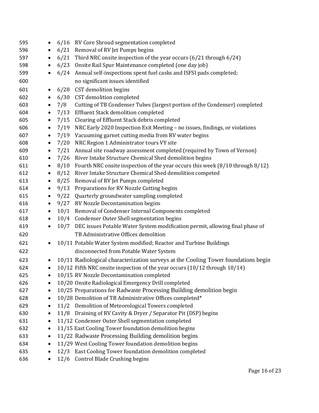| 595 | $\bullet$ | 6/16 | RV Core Shroud segmentation completed                                              |
|-----|-----------|------|------------------------------------------------------------------------------------|
| 596 | $\bullet$ | 6/21 | Removal of RV Jet Pumps begins                                                     |
| 597 | $\bullet$ | 6/21 | Third NRC onsite inspection of the year occurs (6/21 through 6/24)                 |
| 598 | $\bullet$ | 6/23 | Onsite Rail Spur Maintenance completed (one day job)                               |
| 599 | $\bullet$ | 6/24 | Annual self-inspections spent fuel casks and ISFSI pads completed;                 |
| 600 |           |      | no significant issues identified                                                   |
| 601 | ٠         | 6/28 | CST demolition begins                                                              |
| 602 | $\bullet$ | 6/30 | CST demolition completed                                                           |
| 603 | $\bullet$ | 7/8  | Cutting of TB Condenser Tubes (largest portion of the Condenser) completed         |
| 604 | $\bullet$ | 7/13 | Effluent Stack demolition completed                                                |
| 605 | $\bullet$ | 7/15 | Clearing of Effluent Stack debris completed                                        |
| 606 | $\bullet$ | 7/19 | NRC Early 2020 Inspection Exit Meeting - no issues, findings, or violations        |
| 607 | $\bullet$ | 7/19 | Vacuuming garnet cutting media from RV water begins                                |
| 608 | $\bullet$ | 7/20 | NRC Region 1 Administrator tours VY site                                           |
| 609 | $\bullet$ | 7/21 | Annual site roadway assessment completed (required by Town of Vernon)              |
| 610 | $\bullet$ | 7/26 | River Intake Structure Chemical Shed demolition begins                             |
| 611 | $\bullet$ | 8/10 | Fourth NRC onsite inspection of the year occurs this week (8/10 through 8/12)      |
| 612 | $\bullet$ | 8/12 | River Intake Structure Chemical Shed demolition competed                           |
| 613 | $\bullet$ | 8/25 | Removal of RV Jet Pumps completed                                                  |
| 614 | $\bullet$ | 9/13 | Preparations for RV Nozzle Cutting begins                                          |
| 615 | $\bullet$ | 9/22 | Quarterly groundwater sampling completed                                           |
| 616 | $\bullet$ | 9/27 | RV Nozzle Decontamination begins                                                   |
| 617 | $\bullet$ |      | 10/1 Removal of Condenser Internal Components completed                            |
| 618 | $\bullet$ | 10/4 | Condenser Outer Shell segmentation begins                                          |
| 619 | $\bullet$ | 10/7 | DEC issues Potable Water System modification permit, allowing final phase of       |
| 620 |           |      | TB Administrative Offices demolition                                               |
| 621 | $\bullet$ |      | 10/11 Potable Water System modified; Reactor and Turbine Buildings                 |
| 622 |           |      | disconnected from Potable Water System                                             |
| 623 | $\bullet$ |      | 10/11 Radiological characterization surveys at the Cooling Tower foundations begin |
| 624 | $\bullet$ |      | 10/12 Fifth NRC onsite inspection of the year occurs (10/12 through 10/14)         |
| 625 |           |      | 10/15 RV Nozzle Decontamination completed                                          |
| 626 | ٠         |      | 10/20 Onsite Radiological Emergency Drill completed                                |
| 627 | $\bullet$ |      | 10/25 Preparations for Radwaste Processing Building demolition begin               |
| 628 | ٠         |      | 10/28 Demolition of TB Administrative Offices completed*                           |
| 629 | ٠         |      | 11/2 Demolition of Meteorological Towers completed                                 |
| 630 | ٠         | 11/8 | Draining of RV Cavity & Dryer / Separator Pit (DSP) begins                         |
| 631 | ٠         |      | 11/12 Condenser Outer Shell segmentation completed                                 |
| 632 | ٠         |      | 11/15 East Cooling Tower foundation demolition begins                              |
| 633 | $\bullet$ |      | 11/22 Radwaste Processing Building demolition begins                               |
| 634 | $\bullet$ |      | 11/29 West Cooling Tower foundation demolition begins                              |
| 635 | $\bullet$ |      | 12/3 East Cooling Tower foundation demolition completed                            |
| 636 |           | 12/6 | <b>Control Blade Crushing begins</b>                                               |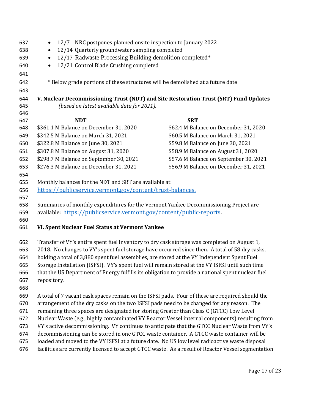| 637        | 12/7 NRC postpones planned onsite inspection to January 2022                                       |                                                                                             |                                                                                      |  |  |
|------------|----------------------------------------------------------------------------------------------------|---------------------------------------------------------------------------------------------|--------------------------------------------------------------------------------------|--|--|
| 638        | 12/14 Quarterly groundwater sampling completed                                                     |                                                                                             |                                                                                      |  |  |
| 639        | 12/17 Radwaste Processing Building demolition completed*<br>$\bullet$                              |                                                                                             |                                                                                      |  |  |
| 640        | $\bullet$                                                                                          | 12/21 Control Blade Crushing completed                                                      |                                                                                      |  |  |
| 641        |                                                                                                    |                                                                                             |                                                                                      |  |  |
| 642        |                                                                                                    | * Below grade portions of these structures will be demolished at a future date              |                                                                                      |  |  |
| 643        |                                                                                                    |                                                                                             |                                                                                      |  |  |
| 644        |                                                                                                    |                                                                                             | V. Nuclear Decommissioning Trust (NDT) and Site Restoration Trust (SRT) Fund Updates |  |  |
| 645        |                                                                                                    | (based on latest available data for 2021).                                                  |                                                                                      |  |  |
| 646        |                                                                                                    |                                                                                             |                                                                                      |  |  |
| 647        |                                                                                                    | <b>NDT</b>                                                                                  | <b>SRT</b>                                                                           |  |  |
| 648        |                                                                                                    | \$361.1 M Balance on December 31, 2020                                                      | \$62.4 M Balance on December 31, 2020                                                |  |  |
| 649        |                                                                                                    | \$342.5 M Balance on March 31, 2021                                                         | \$60.5 M Balance on March 31, 2021                                                   |  |  |
| 650        |                                                                                                    | \$322.8 M Balance on June 30, 2021                                                          | \$59.8 M Balance on June 30, 2021                                                    |  |  |
| 651        |                                                                                                    | \$307.8 M Balance on August 31, 2020                                                        | \$58.9 M Balance on August 31, 2020                                                  |  |  |
| 652        | \$298.7 M Balance on September 30, 2021                                                            | \$57.6 M Balance on September 30, 2021                                                      |                                                                                      |  |  |
| 653        |                                                                                                    | \$276.3 M Balance on December 31, 2021                                                      | \$56.9 M Balance on December 31, 2021                                                |  |  |
| 654        |                                                                                                    |                                                                                             |                                                                                      |  |  |
| 655        |                                                                                                    | Monthly balances for the NDT and SRT are available at:                                      |                                                                                      |  |  |
| 656        |                                                                                                    | https://publicservice.vermont.gov/content/trust-balances.                                   |                                                                                      |  |  |
| 657        |                                                                                                    |                                                                                             |                                                                                      |  |  |
| 658        |                                                                                                    | Summaries of monthly expenditures for the Vermont Yankee Decommissioning Project are        |                                                                                      |  |  |
| 659<br>660 | available: https://publicservice.vermont.gov/content/public-reports.                               |                                                                                             |                                                                                      |  |  |
| 661        |                                                                                                    | VI. Spent Nuclear Fuel Status at Vermont Yankee                                             |                                                                                      |  |  |
|            |                                                                                                    |                                                                                             |                                                                                      |  |  |
| 662        |                                                                                                    | Transfer of VY's entire spent fuel inventory to dry cask storage was completed on August 1, |                                                                                      |  |  |
| 663        | 2018. No changes to VY's spent fuel storage have occurred since then. A total of 58 dry casks,     |                                                                                             |                                                                                      |  |  |
| 664        | holding a total of 3,880 spent fuel assemblies, are stored at the VY Independent Spent Fuel        |                                                                                             |                                                                                      |  |  |
| 665        | Storage Installation (ISFSI). VY's spent fuel will remain stored at the VY ISFSI until such time   |                                                                                             |                                                                                      |  |  |
| 666        | that the US Department of Energy fulfills its obligation to provide a national spent nuclear fuel  |                                                                                             |                                                                                      |  |  |
| 667        | repository.                                                                                        |                                                                                             |                                                                                      |  |  |
| 668        |                                                                                                    |                                                                                             |                                                                                      |  |  |
| 669        | A total of 7 vacant cask spaces remain on the ISFSI pads. Four of these are required should the    |                                                                                             |                                                                                      |  |  |
| 670        | arrangement of the dry casks on the two ISFSI pads need to be changed for any reason. The          |                                                                                             |                                                                                      |  |  |
| 671        | remaining three spaces are designated for storing Greater than Class C (GTCC) Low Level            |                                                                                             |                                                                                      |  |  |
| 672        | Nuclear Waste (e.g., highly contaminated VY Reactor Vessel internal components) resulting from     |                                                                                             |                                                                                      |  |  |
| 673        | VY's active decommissioning. VY continues to anticipate that the GTCC Nuclear Waste from VY's      |                                                                                             |                                                                                      |  |  |
| 674        | decommissioning can be stored in one GTCC waste container. A GTCC waste container will be          |                                                                                             |                                                                                      |  |  |
| 675        | loaded and moved to the VY ISFSI at a future date. No US low level radioactive waste disposal      |                                                                                             |                                                                                      |  |  |
| 676        | facilities are currently licensed to accept GTCC waste. As a result of Reactor Vessel segmentation |                                                                                             |                                                                                      |  |  |
|            |                                                                                                    |                                                                                             |                                                                                      |  |  |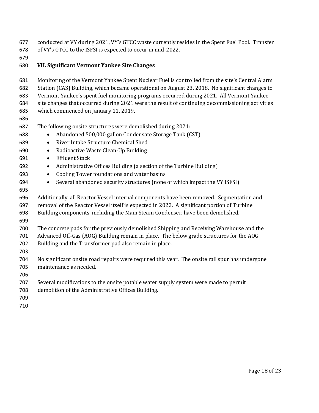conducted at VY during 2021, VY's GTCC waste currently resides in the Spent Fuel Pool. Transfer of VY's GTCC to the ISFSI is expected to occur in mid-2022.

#### **VII. Significant Vermont Yankee Site Changes**

 Monitoring of the Vermont Yankee Spent Nuclear Fuel is controlled from the site's Central Alarm Station (CAS) Building, which became operational on August 23, 2018. No significant changes to Vermont Yankee's spent fuel monitoring programs occurred during 2021. All Vermont Yankee site changes that occurred during 2021 were the result of continuing decommissioning activities which commenced on January 11, 2019.

#### The following onsite structures were demolished during 2021:

- Abandoned 500,000 gallon Condensate Storage Tank (CST)
- River Intake Structure Chemical Shed
- Radioactive Waste Clean-Up Building
- Effluent Stack
- Administrative Offices Building (a section of the Turbine Building)
- Cooling Tower foundations and water basins
- Several abandoned security structures (none of which impact the VY ISFSI)
- 
- Additionally, all Reactor Vessel internal components have been removed. Segmentation and
- removal of the Reactor Vessel itself is expected in 2022. A significant portion of Turbine
- Building components, including the Main Steam Condenser, have been demolished.
- 
- - The concrete pads for the previously demolished Shipping and Receiving Warehouse and the
	- Advanced Off-Gas (AOG) Building remain in place. The below grade structures for the AOG
	- Building and the Transformer pad also remain in place.
	-
	- No significant onsite road repairs were required this year. The onsite rail spur has undergone maintenance as needed.
	-
	- Several modifications to the onsite potable water supply system were made to permit
	- demolition of the Administrative Offices Building.
	-
	-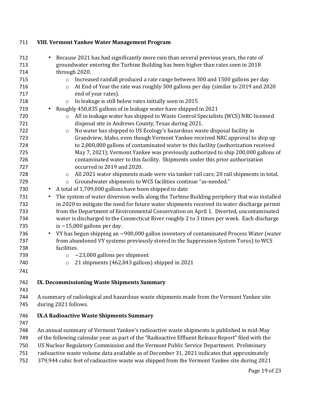- Because 2021 has had significantly more rain than several previous years, the rate of groundwater entering the Turbine Building has been higher than rates seen in 2018 through 2020. o Increased rainfall produced a rate range between 300 and 1500 gallons per day o At End of Year the rate was roughly 300 gallons per day (similar to 2019 and 2020 end of year rates). o In leakage is still below rates initially seen in 2015 • Roughly 450,835 gallons of in leakage water have shipped in 2021 o All in leakage water has shipped to Waste Control Specialists (WCS) NRC-licensed disposal site in Andrews County, Texas during 2021. o No water has shipped to US Ecology's hazardous waste disposal facility in Grandview, Idaho, even though Vermont Yankee received NRC approval to ship up to 2,000,000 gallons of contaminated water to this facility (authorization received May 7, 2021); Vermont Yankee was previously authorized to ship 200,000 gallons of contaminated water to this facility. Shipments under this prior authorization occurred in 2019 and 2020. o All 2021 water shipments made were via tanker rail cars; 20 rail shipments in total. o Groundwater shipments to WCS facilities continue "as-needed." • A total of 1,709,000 gallons have been shipped to date • The system of water diversion wells along the Turbine Building periphery that was installed in 2020 to mitigate the need for future water shipments received its water discharge permit from the Department of Environmental Conservation on April 1. Diverted, uncontaminated water is discharged to the Connecticut River roughly 2 to 3 times per week. Each discharge 735 is  $\sim$  15,000 gallons per day. • VY has begun shipping an ~900,000 gallon inventory of contaminated Process Water (water from abandoned VY systems previously stored in the Suppression System Torus) to WCS facilities. o ~23,000 gallons per shipment o 21 shipments (462,843 gallons) shipped in 2021 **IX. Decommissioning Waste Shipments Summary** A summary of radiological and hazardous waste shipments made from the Vermont Yankee site during 2021 follows.
- **VIII. Vermont Yankee Water Management Program**
- **IX.A Radioactive Waste Shipments Summary**
- 
- An annual summary of Vermont Yankee's radioactive waste shipments is published in mid-May
- of the following calendar year as part of the "Radioactive Effluent Release Report" filed with the
- US Nuclear Regulatory Commission and the Vermont Public Service Department. Preliminary
- radioactive waste volume data available as of December 31, 2021 indicates that approximately
- 379,944 cubic feet of radioactive waste was shipped from the Vermont Yankee site during 2021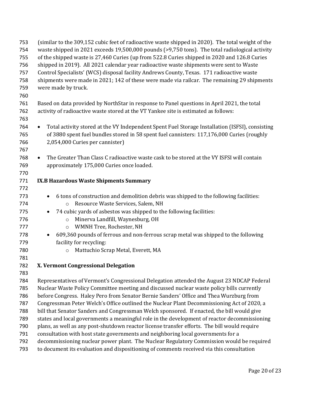| 753<br>754<br>755<br>756<br>757<br>758<br>759<br>760 | (similar to the 309,152 cubic feet of radioactive waste shipped in 2020). The total weight of the<br>waste shipped in 2021 exceeds 19,500,000 pounds (>9,750 tons). The total radiological activity<br>of the shipped waste is 27,460 Curies (up from 522.8 Curies shipped in 2020 and 126.8 Curies<br>shipped in 2019). All 2021 calendar year radioactive waste shipments were sent to Waste<br>Control Specialists' (WCS) disposal facility Andrews County, Texas. 171 radioactive waste<br>shipments were made in 2021; 142 of these were made via railcar. The remaining 29 shipments<br>were made by truck. |  |  |  |
|------------------------------------------------------|-------------------------------------------------------------------------------------------------------------------------------------------------------------------------------------------------------------------------------------------------------------------------------------------------------------------------------------------------------------------------------------------------------------------------------------------------------------------------------------------------------------------------------------------------------------------------------------------------------------------|--|--|--|
| 761                                                  | Based on data provided by NorthStar in response to Panel questions in April 2021, the total                                                                                                                                                                                                                                                                                                                                                                                                                                                                                                                       |  |  |  |
| 762                                                  | activity of radioactive waste stored at the VT Yankee site is estimated as follows:                                                                                                                                                                                                                                                                                                                                                                                                                                                                                                                               |  |  |  |
| 763                                                  |                                                                                                                                                                                                                                                                                                                                                                                                                                                                                                                                                                                                                   |  |  |  |
| 764<br>765<br>766<br>767                             | Total activity stored at the VY Independent Spent Fuel Storage Installation (ISFSI), consisting<br>$\bullet$<br>of 3880 spent fuel bundles stored in 58 spent fuel cannisters: 117,176,000 Curies (roughly<br>2,054,000 Curies per cannister)                                                                                                                                                                                                                                                                                                                                                                     |  |  |  |
| 768                                                  | The Greater Than Class C radioactive waste cask to be stored at the VY ISFSI will contain<br>$\bullet$                                                                                                                                                                                                                                                                                                                                                                                                                                                                                                            |  |  |  |
| 769                                                  | approximately 175,000 Curies once loaded.                                                                                                                                                                                                                                                                                                                                                                                                                                                                                                                                                                         |  |  |  |
| 770                                                  |                                                                                                                                                                                                                                                                                                                                                                                                                                                                                                                                                                                                                   |  |  |  |
| 771                                                  | <b>IX.B Hazardous Waste Shipments Summary</b>                                                                                                                                                                                                                                                                                                                                                                                                                                                                                                                                                                     |  |  |  |
| 772                                                  |                                                                                                                                                                                                                                                                                                                                                                                                                                                                                                                                                                                                                   |  |  |  |
| 773                                                  | 6 tons of construction and demolition debris was shipped to the following facilities:<br>$\bullet$                                                                                                                                                                                                                                                                                                                                                                                                                                                                                                                |  |  |  |
| 774                                                  | Resource Waste Services, Salem, NH<br>$\circ$                                                                                                                                                                                                                                                                                                                                                                                                                                                                                                                                                                     |  |  |  |
| 775                                                  | 74 cubic yards of asbestos was shipped to the following facilities:<br>$\bullet$                                                                                                                                                                                                                                                                                                                                                                                                                                                                                                                                  |  |  |  |
| 776                                                  | Minerva Landfill, Waynesburg, OH<br>$\circ$                                                                                                                                                                                                                                                                                                                                                                                                                                                                                                                                                                       |  |  |  |
| 777                                                  | WMNH Tree, Rochester, NH<br>$\circ$                                                                                                                                                                                                                                                                                                                                                                                                                                                                                                                                                                               |  |  |  |
| 778                                                  | 609,360 pounds of ferrous and non-ferrous scrap metal was shipped to the following<br>$\bullet$                                                                                                                                                                                                                                                                                                                                                                                                                                                                                                                   |  |  |  |
| 779                                                  | facility for recycling:                                                                                                                                                                                                                                                                                                                                                                                                                                                                                                                                                                                           |  |  |  |
| 780                                                  | Mattuchio Scrap Metal, Everett, MA<br>$\circ$                                                                                                                                                                                                                                                                                                                                                                                                                                                                                                                                                                     |  |  |  |
| 781                                                  |                                                                                                                                                                                                                                                                                                                                                                                                                                                                                                                                                                                                                   |  |  |  |
| 782                                                  | X. Vermont Congressional Delegation                                                                                                                                                                                                                                                                                                                                                                                                                                                                                                                                                                               |  |  |  |
| 783                                                  |                                                                                                                                                                                                                                                                                                                                                                                                                                                                                                                                                                                                                   |  |  |  |
| 784                                                  | Representatives of Vermont's Congressional Delegation attended the August 23 NDCAP Federal                                                                                                                                                                                                                                                                                                                                                                                                                                                                                                                        |  |  |  |
| 785                                                  | Nuclear Waste Policy Committee meeting and discussed nuclear waste policy bills currently                                                                                                                                                                                                                                                                                                                                                                                                                                                                                                                         |  |  |  |
| 786                                                  | before Congress. Haley Pero from Senator Bernie Sanders' Office and Thea Wurzburg from                                                                                                                                                                                                                                                                                                                                                                                                                                                                                                                            |  |  |  |
| 787                                                  | Congressman Peter Welch's Office outlined the Nuclear Plant Decommissioning Act of 2020, a                                                                                                                                                                                                                                                                                                                                                                                                                                                                                                                        |  |  |  |
| 788                                                  | bill that Senator Sanders and Congressman Welch sponsored. If enacted, the bill would give                                                                                                                                                                                                                                                                                                                                                                                                                                                                                                                        |  |  |  |
| 789                                                  | states and local governments a meaningful role in the development of reactor decommissioning                                                                                                                                                                                                                                                                                                                                                                                                                                                                                                                      |  |  |  |
| 790                                                  | plans, as well as any post-shutdown reactor license transfer efforts. The bill would require                                                                                                                                                                                                                                                                                                                                                                                                                                                                                                                      |  |  |  |
| 791                                                  | consultation with host state governments and neighboring local governments for a                                                                                                                                                                                                                                                                                                                                                                                                                                                                                                                                  |  |  |  |
| 792                                                  | decommissioning nuclear power plant. The Nuclear Regulatory Commission would be required                                                                                                                                                                                                                                                                                                                                                                                                                                                                                                                          |  |  |  |
| 793                                                  | to document its evaluation and dispositioning of comments received via this consultation                                                                                                                                                                                                                                                                                                                                                                                                                                                                                                                          |  |  |  |
|                                                      |                                                                                                                                                                                                                                                                                                                                                                                                                                                                                                                                                                                                                   |  |  |  |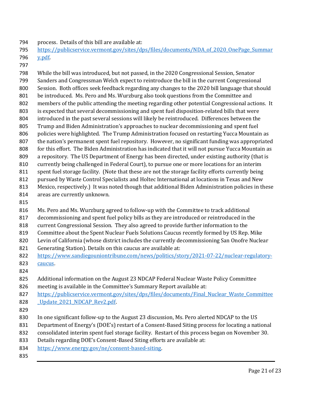process. Details of this bill are available at:

 [https://publicservice.vermont.gov/sites/dps/files/documents/NDA\\_of\\_2020\\_OnePage\\_Summar](https://publicservice.vermont.gov/sites/dps/files/documents/NDA_of_2020_OnePage_Summary.pdf) [y.pdf.](https://publicservice.vermont.gov/sites/dps/files/documents/NDA_of_2020_OnePage_Summary.pdf)

 While the bill was introduced, but not passed, in the 2020 Congressional Session, Senator Sanders and Congressman Welch expect to reintroduce the bill in the current Congressional Session. Both offices seek feedback regarding any changes to the 2020 bill language that should be introduced. Ms. Pero and Ms. Wurzburg also took questions from the Committee and members of the public attending the meeting regarding other potential Congressional actions. It is expected that several decommissioning and spent fuel disposition-related bills that were introduced in the past several sessions will likely be reintroduced. Differences between the Trump and Biden Administration's approaches to nuclear decommissioning and spent fuel policies were highlighted. The Trump Administration focused on restarting Yucca Mountain as the nation's permanent spent fuel repository. However, no significant funding was appropriated 808 for this effort. The Biden Administration has indicated that it will not pursue Yucca Mountain as a repository. The US Department of Energy has been directed, under existing authority (that is currently being challenged in Federal Court), to pursue one or more locations for an interim spent fuel storage facility. (Note that these are not the storage facility efforts currently being pursued by Waste Control Specialists and Holtec International at locations in Texas and New Mexico, respectively.) It was noted though that additional Biden Administration policies in these areas are currently unknown. Ms. Pero and Ms. Wurzburg agreed to follow-up with the Committee to track additional decommissioning and spent fuel policy bills as they are introduced or reintroduced in the current Congressional Session. They also agreed to provide further information to the

- Committee about the Spent Nuclear Fuels Solutions Caucus recently formed by US Rep. Mike
- Levin of California (whose district includes the currently decommissioning San Onofre Nuclear
- Generating Station). Details on this caucus are available at:
- [https://www.sandiegouniontribune.com/news/politics/story/2021-07-22/nuclear-regulatory](https://www.sandiegouniontribune.com/news/politics/story/2021-07-22/nuclear-regulatory-caucus)[caucus.](https://www.sandiegouniontribune.com/news/politics/story/2021-07-22/nuclear-regulatory-caucus)
- 
- Additional information on the August 23 NDCAP Federal Nuclear Waste Policy Committee
- meeting is available in the Committee's Summary Report available at:

827 https://publicservice.vermont.gov/sites/dps/files/documents/Final Nuclear Waste Committee

- 828 Update 2021 NDCAP Rev2.pdf.
- 
- In one significant follow-up to the August 23 discussion, Ms. Pero alerted NDCAP to the US
- Department of Energy's (DOE's) restart of a Consent-Based Siting process for locating a national
- consolidated interim spent fuel storage facility. Restart of this process began on November 30.
- 833 Details regarding DOE's Consent-Based Siting efforts are available at:
- [https://www.energy.gov/ne/consent-based-siting.](https://www.energy.gov/ne/consent-based-siting)
-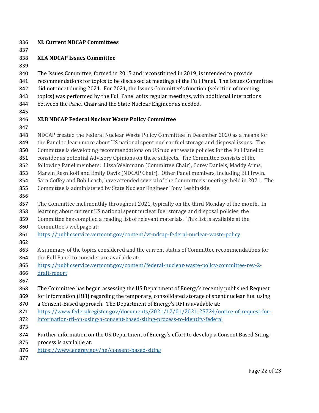| 836 | <b>XI. Current NDCAP Committees</b> |
|-----|-------------------------------------|
|-----|-------------------------------------|

| .,<br>v | I<br>× |  |
|---------|--------|--|
|         |        |  |

### **XI.A NDCAP Issues Committee**

 The Issues Committee, formed in 2015 and reconstituted in 2019, is intended to provide recommendations for topics to be discussed at meetings of the Full Panel. The Issues Committee did not meet during 2021. For 2021, the Issues Committee's function (selection of meeting

topics) was performed by the Full Panel at its regular meetings, with additional interactions

between the Panel Chair and the State Nuclear Engineer as needed.

### **XI.B NDCAP Federal Nuclear Waste Policy Committee**

 NDCAP created the Federal Nuclear Waste Policy Committee in December 2020 as a means for the Panel to learn more about US national spent nuclear fuel storage and disposal issues. The Committee is developing recommendations on US nuclear waste policies for the Full Panel to consider as potential Advisory Opinions on these subjects. The Committee consists of the following Panel members: Lissa Weinmann (Committee Chair), Corey Daniels, Maddy Arms, Marvin Resnikoff and Emily Davis (NDCAP Chair). Other Panel members, including Bill Irwin,

 Sara Coffey and Bob Leach, have attended several of the Committee's meetings held in 2021. The Committee is administered by State Nuclear Engineer Tony Leshinskie.

The Committee met monthly throughout 2021, typically on the third Monday of the month. In

- learning about current US national spent nuclear fuel storage and disposal policies, the
- Committee has compiled a reading list of relevant materials. This list is available at the
- Committee's webpage at:
- <https://publicservice.vermont.gov/content/vt-ndcap-federal-nuclear-waste-policy>
- 
- A summary of the topics considered and the current status of Committee recommendations for 864 the Full Panel to consider are available at:
- [https://publicservice.vermont.gov/content/federal-nuclear-waste-policy-committee-rev-2-](https://publicservice.vermont.gov/content/federal-nuclear-waste-policy-committee-rev-2-draft-report)
- [draft-report](https://publicservice.vermont.gov/content/federal-nuclear-waste-policy-committee-rev-2-draft-report)
- 
- The Committee has begun assessing the US Department of Energy's recently published Request for Information (RFI) regarding the temporary, consolidated storage of spent nuclear fuel using
- a Consent-Based approach. The Department of Energy's RFI is available at:
- [https://www.federalregister.gov/documents/2021/12/01/2021-25724/notice-of-request-for-](https://www.federalregister.gov/documents/2021/12/01/2021-25724/notice-of-request-for-information-rfi-on-using-a-consent-based-siting-process-to-identify-federal)
- [information-rfi-on-using-a-consent-based-siting-process-to-identify-federal](https://www.federalregister.gov/documents/2021/12/01/2021-25724/notice-of-request-for-information-rfi-on-using-a-consent-based-siting-process-to-identify-federal)
- 
- Further information on the US Department of Energy's effort to develop a Consent Based Siting
- process is available at:
- <https://www.energy.gov/ne/consent-based-siting>
-